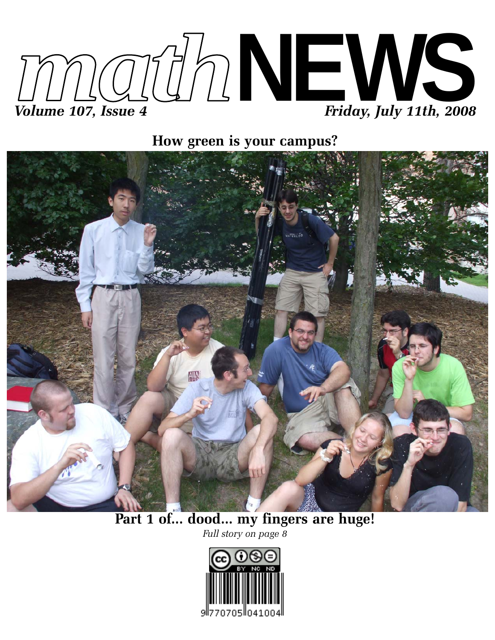

**How green is your campus?**



# **Part 1 of... dood... my fingers are huge!**

*Full story on page 8*

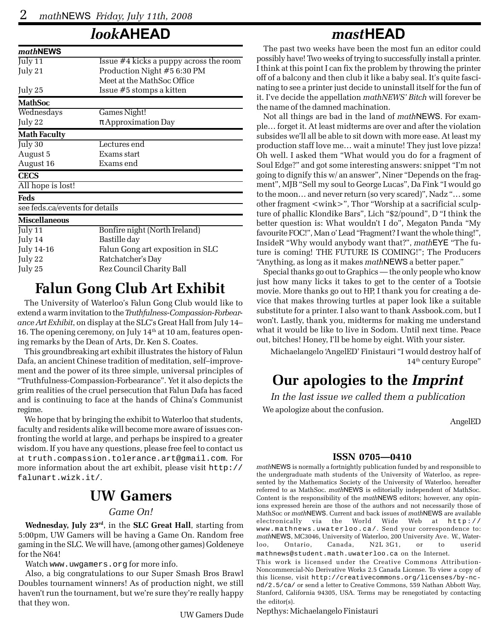### *look***AHEAD**

| mathNEWS                       |                                        |  |  |  |  |  |  |  |  |
|--------------------------------|----------------------------------------|--|--|--|--|--|--|--|--|
| July $11$                      | Issue #4 kicks a puppy across the room |  |  |  |  |  |  |  |  |
| July 21                        | Production Night #5 6:30 PM            |  |  |  |  |  |  |  |  |
|                                | Meet at the MathSoc Office             |  |  |  |  |  |  |  |  |
| July 25                        | Issue #5 stomps a kitten               |  |  |  |  |  |  |  |  |
| <b>MathSoc</b>                 |                                        |  |  |  |  |  |  |  |  |
| Wednesdays                     | Games Night!                           |  |  |  |  |  |  |  |  |
| July 22                        | $\pi$ Approximation Day                |  |  |  |  |  |  |  |  |
| <b>Math Faculty</b>            |                                        |  |  |  |  |  |  |  |  |
| July $30$                      | Lectures end                           |  |  |  |  |  |  |  |  |
| August 5                       | Exams start                            |  |  |  |  |  |  |  |  |
| August 16                      | Exams end                              |  |  |  |  |  |  |  |  |
| <b>CECS</b>                    |                                        |  |  |  |  |  |  |  |  |
| All hope is lost!              |                                        |  |  |  |  |  |  |  |  |
| Feds                           |                                        |  |  |  |  |  |  |  |  |
| see feds.ca/events for details |                                        |  |  |  |  |  |  |  |  |
| <b>Miscellaneous</b>           |                                        |  |  |  |  |  |  |  |  |
| July 11                        | Bonfire night (North Ireland)          |  |  |  |  |  |  |  |  |
| July 14                        | Bastille day                           |  |  |  |  |  |  |  |  |
| July 14-16                     | Falun Gong art exposition in SLC       |  |  |  |  |  |  |  |  |
| July 22                        | Ratchatcher's Day                      |  |  |  |  |  |  |  |  |
| July 25                        | Rez Council Charity Ball               |  |  |  |  |  |  |  |  |

### **Falun Gong Club Art Exhibit**

The University of Waterloo's Falun Gong Club would like to extend a warm invitation to the *Truthfulness-Compassion-Forbearance Art Exhibit*, on display at the SLC's Great Hall from July 14– 16. The opening ceremony, on July  $14<sup>th</sup>$  at 10 am, features opening remarks by the Dean of Arts, Dr. Ken S. Coates.

This groundbreaking art exhibit illustrates the history of Falun Dafa, an ancient Chinese tradition of meditation, self–improvement and the power of its three simple, universal principles of "Truthfulness-Compassion-Forbearance". Yet it also depicts the grim realities of the cruel persecution that Falun Dafa has faced and is continuing to face at the hands of China's Communist regime.

We hope that by bringing the exhibit to Waterloo that students, faculty and residents alike will become more aware of issues confronting the world at large, and perhaps be inspired to a greater wisdom. If you have any questions, please free feel to contact us at truth.compassion.tolerance.art@gmail.com. For more information about the art exhibit, please visit http:// falunart.wizk.it/.

### **UW Gamers**

#### *Game On!*

**Wednesday, July 23rd**, in the **SLC Great Hall**, starting from 5:00pm, UW Gamers will be having a Game On. Random free gaming in the SLC. We will have, (among other games) Goldeneye for the N64!

Watch www.uwgamers.org for more info.

Also, a big congratulations to our Super Smash Bros Brawl Doubles tournament winners! As of production night, we still haven't run the tournament, but we're sure they're really happy that they won.

UW Gamers Dude

### *mast***HEAD**

The past two weeks have been the most fun an editor could possibly have! Two weeks of trying to successfully install a printer. I think at this point I can fix the problem by throwing the printer off of a balcony and then club it like a baby seal. It's quite fascinating to see a printer just decide to uninstall itself for the fun of it. I've decide the appellation *mathNEWS' Bitch* will forever be the name of the damned machination.

Not all things are bad in the land of *math*NEWS. For example… forget it. At least midterms are over and after the violation subsides we'll all be able to sit down with more ease. At least my production staff love me… wait a minute! They just love pizza! Oh well. I asked them "What would you do for a fragment of Soul Edge?" and got some interesting answers: snippet "I'm not going to dignify this w/ an answer", Niner "Depends on the fragment", MJB "Sell my soul to George Lucas", Da Fink "I would go to the moon… and never return (so very scared)", Nadz "… some other fragment <wink>", Thor "Worship at a sacrificial sculpture of phallic Klondike Bars", Lich "\$2/pound", D "I think the better question is: What wouldn't I do", Megaton Panda "My favourite FOC!", Man o' Lead "Fragment? I want the whole thing!", InsideR "Why would anybody want that?", *math*EYE "The future is coming! THE FUTURE IS COMING!"; The Producers "Anything, as long as it makes *math*NEWS a better paper."

Special thanks go out to Graphics — the only people who know just how many licks it takes to get to the center of a Tootsie movie. More thanks go out to HP, I thank you for creating a device that makes throwing turtles at paper look like a suitable substitute for a printer. I also want to thank Assbook.com, but I won't. Lastly, thank you, midterms for making me understand what it would be like to live in Sodom. Until next time. Peace out, bitches! Honey, I'll be home by eight. With your sister.

Michaelangelo 'AngelED' Finistauri "I would destroy half of 14<sup>th</sup> century Europe"

### **Our apologies to the** *Imprint*

*In the last issue we called them a publication* We apologize about the confusion.

AngelED

#### **ISSN 0705—0410**

*math*NEWS is normally a fortnightly publication funded by and responsible to the undergraduate math students of the University of Waterloo, as represented by the Mathematics Society of the University of Waterloo, hereafter referred to as MathSoc. *math*NEWS is editorially independent of MathSoc. Content is the responsibility of the *math*NEWS editors; however, any opinions expressed herein are those of the authors and not necessarily those of MathSoc or *math*NEWS. Current and back issues of *math*NEWS are available electronically via the World Wide Web at http:// www.mathnews.uwaterloo.ca/. Send your correspondence to: *math*NEWS, MC3046, University of Waterloo, 200 University Ave. W., Waterloo, Ontario, Canada, N2L 3G1, or to userid mathnews@student.math.uwaterloo.ca on the Internet.

This work is licensed under the Creative Commons Attribution-Noncommercial-No Derivative Works 2.5 Canada License. To view a copy of this license, visit http://creativecommons.org/licenses/by-ncnd/2.5/ca/ or send a letter to Creative Commons, 559 Nathan Abbott Way, Stanford, California 94305, USA. Terms may be renegotiated by contacting the editor(s).

Nepthys: Michaelangelo Finistauri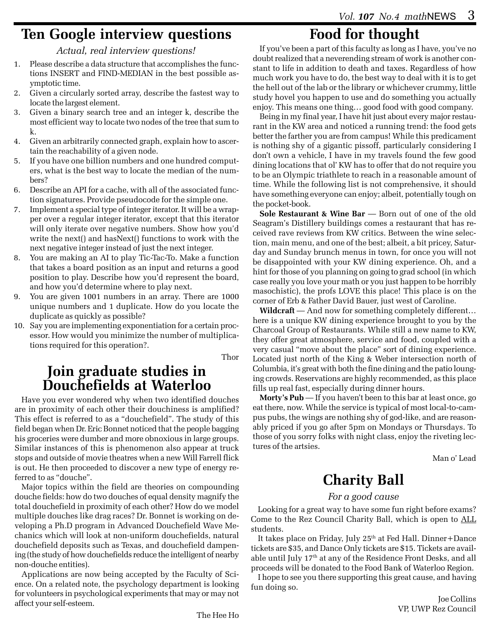### **Ten Google interview questions**

#### *Actual, real interview questions!*

- 1. Please describe a data structure that accomplishes the functions INSERT and FIND-MEDIAN in the best possible asymptotic time.
- 2. Given a circularly sorted array, describe the fastest way to locate the largest element.
- 3. Given a binary search tree and an integer k, describe the most efficient way to locate two nodes of the tree that sum to k.
- 4. Given an arbitrarily connected graph, explain how to ascertain the reachability of a given node.
- 5. If you have one billion numbers and one hundred computers, what is the best way to locate the median of the numbers?
- 6. Describe an API for a cache, with all of the associated function signatures. Provide pseudocode for the simple one.
- 7. Implement a special type of integer iterator. It will be a wrapper over a regular integer iterator, except that this iterator will only iterate over negative numbers. Show how you'd write the next() and hasNext() functions to work with the next negative integer instead of just the next integer.
- 8. You are making an AI to play Tic-Tac-To. Make a function that takes a board position as an input and returns a good position to play. Describe how you'd represent the board, and how you'd determine where to play next.
- 9. You are given 1001 numbers in an array. There are 1000 unique numbers and 1 duplicate. How do you locate the duplicate as quickly as possible?
- 10. Say you are implementing exponentiation for a certain processor. How would you minimize the number of multiplications required for this operation?.

Thor

### **Join graduate studies in Douchefields at Waterloo**

Have you ever wondered why when two identified douches are in proximity of each other their douchiness is amplified? This effect is referred to as a "douchefield". The study of this field began when Dr. Eric Bonnet noticed that the people bagging his groceries were dumber and more obnoxious in large groups. Similar instances of this is phenomenon also appear at truck stops and outside of movie theatres when a new Will Farrell flick is out. He then proceeded to discover a new type of energy referred to as "douche".

Major topics within the field are theories on compounding douche fields: how do two douches of equal density magnify the total douchefield in proximity of each other? How do we model multiple douches like drag races? Dr. Bonnet is working on developing a Ph.D program in Advanced Douchefield Wave Mechanics which will look at non-uniform douchefields, natural douchefield deposits such as Texas, and douchefield dampening (the study of how douchefields reduce the intelligent of nearby non-douche entities).

Applications are now being accepted by the Faculty of Science. On a related note, the psychology department is looking for volunteers in psychological experiments that may or may not affect your self-esteem.

# **Food for thought**

If you've been a part of this faculty as long as I have, you've no doubt realized that a neverending stream of work is another constant to life in addition to death and taxes. Regardless of how much work you have to do, the best way to deal with it is to get the hell out of the lab or the library or whichever crummy, little study hovel you happen to use and do something you actually enjoy. This means one thing… good food with good company.

Being in my final year, I have hit just about every major restaurant in the KW area and noticed a running trend: the food gets better the farther you are from campus! While this predicament is nothing shy of a gigantic pissoff, particularly considering I don't own a vehicle, I have in my travels found the few good dining locations that ol' KW has to offer that do not require you to be an Olympic triathlete to reach in a reasonable amount of time. While the following list is not comprehensive, it should have something everyone can enjoy; albeit, potentially tough on the pocket-book.

**Sole Restaurant & Wine Bar** — Born out of one of the old Seagram's Distillery buildings comes a restaurant that has received rave reviews from KW critics. Between the wine selection, main menu, and one of the best; albeit, a bit pricey, Saturday and Sunday brunch menus in town, for once you will not be disappointed with your KW dining experience. Oh, and a hint for those of you planning on going to grad school (in which case really you love your math or you just happen to be horribly masochistic), the profs LOVE this place! This place is on the corner of Erb & Father David Bauer, just west of Caroline.

**Wildcraft** — And now for something completely different… here is a unique KW dining experience brought to you by the Charcoal Group of Restaurants. While still a new name to KW, they offer great atmosphere, service and food, coupled with a very casual "move about the place" sort of dining experience. Located just north of the King & Weber intersection north of Columbia, it's great with both the fine dining and the patio lounging crowds. Reservations are highly recommended, as this place fills up real fast, especially during dinner hours.

**Morty's Pub** — If you haven't been to this bar at least once, go eat there, now. While the service is typical of most local-to-campus pubs, the wings are nothing shy of god-like, and are reasonably priced if you go after 5pm on Mondays or Thursdays. To those of you sorry folks with night class, enjoy the riveting lectures of the artsies.

Man o' Lead

# **Charity Ball**

#### *For a good cause*

Looking for a great way to have some fun right before exams? Come to the Rez Council Charity Ball, which is open to ALL students.

It takes place on Friday, July  $25<sup>th</sup>$  at Fed Hall. Dinner+Dance tickets are \$35, and Dance Only tickets are \$15. Tickets are available until July 17th at any of the Residence Front Desks, and all proceeds will be donated to the Food Bank of Waterloo Region.

I hope to see you there supporting this great cause, and having fun doing so.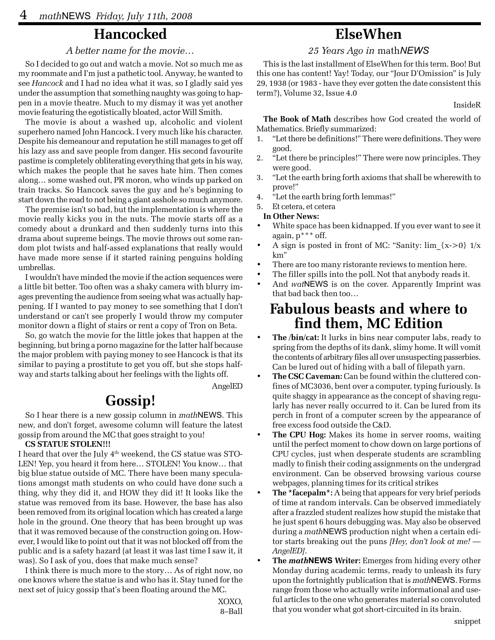### **Hancocked**

#### *A better name for the movie…*

So I decided to go out and watch a movie. Not so much me as my roommate and I'm just a pathetic tool. Anyway, he wanted to see *Hancock* and I had no idea what it was, so I gladly said yes under the assumption that something naughty was going to happen in a movie theatre. Much to my dismay it was yet another movie featuring the egotistically bloated, actor Will Smith.

The movie is about a washed up, alcoholic and violent superhero named John Hancock. I very much like his character. Despite his demeanour and reputation he still manages to get off his lazy ass and save people from danger. His second favourite pastime is completely obliterating everything that gets in his way, which makes the people that he saves hate him. Then comes along… some washed out, PR moron, who winds up parked on train tracks. So Hancock saves the guy and he's beginning to start down the road to not being a giant asshole so much anymore.

The premise isn't so bad, but the implementation is where the movie really kicks you in the nuts. The movie starts off as a comedy about a drunkard and then suddenly turns into this drama about supreme beings. The movie throws out some random plot twists and half-assed explanations that really would have made more sense if it started raining penguins holding umbrellas.

I wouldn't have minded the movie if the action sequences were a little bit better. Too often was a shaky camera with blurry images preventing the audience from seeing what was actually happening. If I wanted to pay money to see something that I don't understand or can't see properly I would throw my computer monitor down a flight of stairs or rent a copy of Tron on Beta.

So, go watch the movie for the little jokes that happen at the beginning, but bring a porno magazine for the latter half because the major problem with paying money to see Hancock is that its similar to paying a prostitute to get you off, but she stops halfway and starts talking about her feelings with the lights off.

AngelED

### **Gossip!**

So I hear there is a new gossip column in *math*NEWS. This new, and don't forget, awesome column will feature the latest gossip from around the MC that goes straight to you!

#### **CS STATUE STOLEN!!!**

I heard that over the July  $4<sup>th</sup>$  weekend, the CS statue was STO-LEN! Yep, you heard it from here… STOLEN! You know… that big blue statue outside of MC. There have been many speculations amongst math students on who could have done such a thing, why they did it, and HOW they did it! It looks like the statue was removed from its base. However, the base has also been removed from its original location which has created a large hole in the ground. One theory that has been brought up was that it was removed because of the construction going on. However, I would like to point out that it was not blocked off from the public and is a safety hazard (at least it was last time I saw it, it was). So I ask of you, does that make much sense?

I think there is much more to the story… As of right now, no one knows where the statue is and who has it. Stay tuned for the next set of juicy gossip that's been floating around the MC.

XOXO, 8–Ball

### **ElseWhen**

#### *25 Years Ago in* math*NEWS*

This is the last installment of ElseWhen for this term. Boo! But this one has content! Yay! Today, our "Jour D'Omission" is July 29, 1938 (or 1983 - have they ever gotten the date consistent this term?), Volume 32, Issue 4.0

InsideR

**The Book of Math** describes how God created the world of Mathematics. Briefly summarized:

- 1. "Let there be definitions!" There were definitions. They were good.
- 2. "Let there be principles!" There were now principles. They were good.
- 3. "Let the earth bring forth axioms that shall be wherewith to prove!"
- 4. "Let the earth bring forth lemmas!"
- 5. Et cetera, et cetera

#### **In Other News:**

- White space has been kidnapped. If you ever want to see it again, p\*\*\* off.
- A sign is posted in front of MC: "Sanity: lim  $\{x\text{-}0\}$  1/x km"
- There are too many ristorante reviews to mention here.
- The filler spills into the poll. Not that anybody reads it.
- And *wat*NEWS is on the cover. Apparently Imprint was that bad back then too…

### **Fabulous beasts and where to find them, MC Edition**

- **The /bin/cat:** It lurks in bins near computer labs, ready to spring from the depths of its dank, slimy home. It will vomit the contents of arbitrary files all over unsuspecting passerbies. Can be lured out of hiding with a ball of filepath yarn.
- **The CSC Caveman:** Can be found within the cluttered confines of MC3036, bent over a computer, typing furiously. Is quite shaggy in appearance as the concept of shaving regularly has never really occurred to it. Can be lured from its perch in front of a computer screen by the appearance of free excess food outside the C&D.
- **The CPU Hog:** Makes its home in server rooms, waiting until the perfect moment to chow down on large portions of CPU cycles, just when desperate students are scrambling madly to finish their coding assignments on the undergrad environment. Can be observed browsing various course webpages, planning times for its critical strikes
- **The \*facepalm\*:** A being that appears for very brief periods of time at random intervals. Can be observed immediately after a frazzled student realizes how stupid the mistake that he just spent 6 hours debugging was. May also be observed during a *math*NEWS production night when a certain editor starts breaking out the puns *[Hey, don't look at me! — AngelED]*.
- **The** *math***NEWS Writer:** Emerges from hiding every other Monday during academic terms, ready to unleash its fury upon the fortnightly publication that is *math*NEWS. Forms range from those who actually write informational and useful articles to the one who generates material so convoluted that you wonder what got short-circuited in its brain.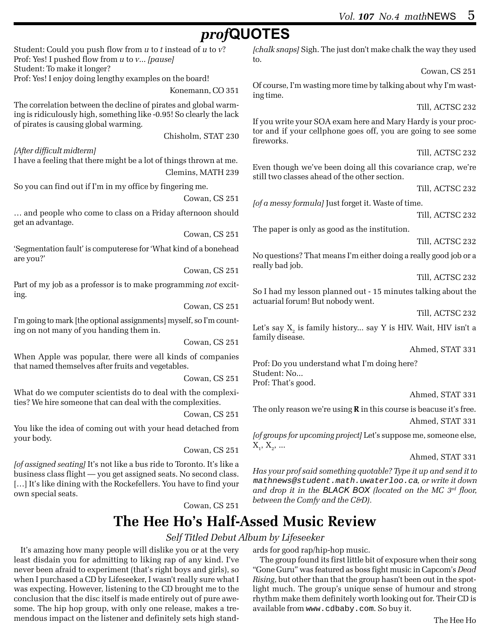## *prof***QUOTES**

Student: Could you push flow from *u* to *t* instead of *u* to *v*? Prof: Yes! I pushed flow from *u* to *v*... *[pause]* Student: To make it longer? Prof: Yes! I enjoy doing lengthy examples on the board!

Konemann, CO 351

The correlation between the decline of pirates and global warming is ridiculously high, something like -0.95! So clearly the lack of pirates is causing global warming.

Chisholm, STAT 230

*[After difficult midterm]* I have a feeling that there might be a lot of things thrown at me. Clemins, MATH 239

So you can find out if I'm in my office by fingering me.

Cowan, CS 251

… and people who come to class on a Friday afternoon should get an advantage.

Cowan, CS 251

'Segmentation fault' is computerese for 'What kind of a bonehead are you?'

Cowan, CS 251

Part of my job as a professor is to make programming *not* exciting.

Cowan, CS 251

I'm going to mark [the optional assignments] myself, so I'm counting on not many of you handing them in.

Cowan, CS 251

When Apple was popular, there were all kinds of companies that named themselves after fruits and vegetables.

Cowan, CS 251

What do we computer scientists do to deal with the complexities? We hire someone that can deal with the complexities.

Cowan, CS 251

You like the idea of coming out with your head detached from your body.

Cowan, CS 251

*[of assigned seating]* It's not like a bus ride to Toronto. It's like a business class flight — you get assigned seats. No second class. [...] It's like dining with the Rockefellers. You have to find your own special seats.

Cowan, CS 251

*[chalk snaps]* Sigh. The just don't make chalk the way they used to.

Cowan, CS 251

Of course, I'm wasting more time by talking about why I'm wasting time.

Till, ACTSC 232

If you write your SOA exam here and Mary Hardy is your proctor and if your cellphone goes off, you are going to see some fireworks.

Till, ACTSC 232

Even though we've been doing all this covariance crap, we're still two classes ahead of the other section.

Till, ACTSC 232

*[of a messy formula]* Just forget it. Waste of time.

Till, ACTSC 232

The paper is only as good as the institution.

Till, ACTSC 232

No questions? That means I'm either doing a really good job or a really bad job.

Till, ACTSC 232

So I had my lesson planned out - 15 minutes talking about the actuarial forum! But nobody went.

Till, ACTSC 232

Let's say  $\mathrm{X}^\mathrm{}_2$  is family history... say Y is HIV. Wait, HIV isn't a family disease.

Ahmed, STAT 331

Prof: Do you understand what I'm doing here? Student: No... Prof: That's good.

Ahmed, STAT 331

The only reason we're using **R** in this course is beacuse it's free. Ahmed, STAT 331

*[of groups for upcoming project]* Let's suppose me, someone else,  $X_1, X_2, ...$ 

Ahmed, STAT 331

*Has your prof said something quotable? Type it up and send it to* mathnews@student.math.uwaterloo.ca*, or write it down and drop it in the BLACK BOX (located on the MC 3rd floor, between the Comfy and the C&D).*

### **The Hee Ho's Half-Assed Music Review**

#### *Self Titled Debut Album by Lifeseeker*

It's amazing how many people will dislike you or at the very least disdain you for admitting to liking rap of any kind. I've never been afraid to experiment (that's right boys and girls), so when I purchased a CD by Lifeseeker, I wasn't really sure what I was expecting. However, listening to the CD brought me to the conclusion that the disc itself is made entirely out of pure awesome. The hip hop group, with only one release, makes a tremendous impact on the listener and definitely sets high standards for good rap/hip-hop music.

The group found its first little bit of exposure when their song "Gone Guru" was featured as boss fight music in Capcom's *Dead Rising*, but other than that the group hasn't been out in the spotlight much. The group's unique sense of humour and strong rhythm make them definitely worth looking out for. Their CD is available from www.cdbaby.com. So buy it.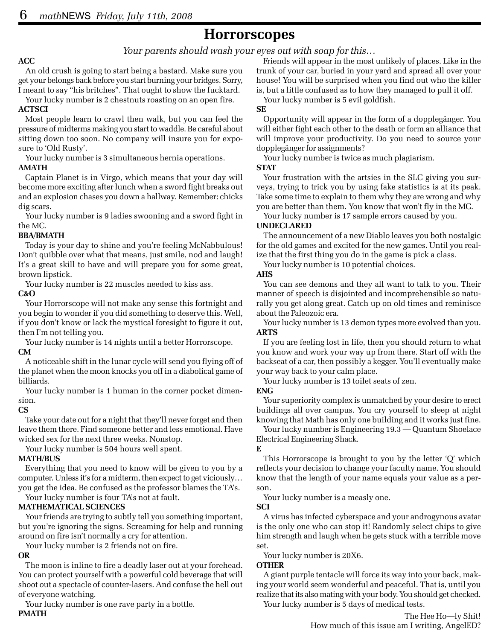### **Horrorscopes**

#### *Your parents should wash your eyes out with soap for this…*

#### **ACC**

An old crush is going to start being a bastard. Make sure you get your belongs back before you start burning your bridges. Sorry, I meant to say "his britches". That ought to show the fucktard.

Your lucky number is 2 chestnuts roasting on an open fire.

#### **ACTSCI**

Most people learn to crawl then walk, but you can feel the pressure of midterms making you start to waddle. Be careful about sitting down too soon. No company will insure you for exposure to 'Old Rusty'.

Your lucky number is 3 simultaneous hernia operations.

#### **AMATH**

Captain Planet is in Virgo, which means that your day will become more exciting after lunch when a sword fight breaks out and an explosion chases you down a hallway. Remember: chicks dig scars.

Your lucky number is 9 ladies swooning and a sword fight in the MC.

#### **BBA/BMATH**

Today is your day to shine and you're feeling McNabbulous! Don't quibble over what that means, just smile, nod and laugh! It's a great skill to have and will prepare you for some great, brown lipstick.

Your lucky number is 22 muscles needed to kiss ass.

#### **C&O**

Your Horrorscope will not make any sense this fortnight and you begin to wonder if you did something to deserve this. Well, if you don't know or lack the mystical foresight to figure it out, then I'm not telling you.

Your lucky number is 14 nights until a better Horrorscope.

#### **CM**

A noticeable shift in the lunar cycle will send you flying off of the planet when the moon knocks you off in a diabolical game of billiards.

Your lucky number is 1 human in the corner pocket dimension.

#### **CS**

Take your date out for a night that they'll never forget and then leave them there. Find someone better and less emotional. Have wicked sex for the next three weeks. Nonstop.

Your lucky number is 504 hours well spent.

#### **MATH/BUS**

Everything that you need to know will be given to you by a computer. Unless it's for a midterm, then expect to get viciously… you get the idea. Be confused as the professor blames the TA's. Your lucky number is four TA's not at fault.

#### **MATHEMATICAL SCIENCES**

Your friends are trying to subtly tell you something important, but you're ignoring the signs. Screaming for help and running around on fire isn't normally a cry for attention.

Your lucky number is 2 friends not on fire.

#### **OR**

The moon is inline to fire a deadly laser out at your forehead. You can protect yourself with a powerful cold beverage that will shoot out a spectacle of counter-lasers. And confuse the hell out of everyone watching.

Your lucky number is one rave party in a bottle. **PMATH**

Friends will appear in the most unlikely of places. Like in the trunk of your car, buried in your yard and spread all over your house! You will be surprised when you find out who the killer is, but a little confused as to how they managed to pull it off.

Your lucky number is 5 evil goldfish.

#### **SE**

Opportunity will appear in the form of a dopplegänger. You will either fight each other to the death or form an alliance that will improve your productivity. Do you need to source your dopplegänger for assignments?

Your lucky number is twice as much plagiarism.

#### **STAT**

Your frustration with the artsies in the SLC giving you surveys, trying to trick you by using fake statistics is at its peak. Take some time to explain to them why they are wrong and why you are better than them. You know that won't fly in the MC.

Your lucky number is 17 sample errors caused by you.

#### **UNDECLARED**

The announcement of a new Diablo leaves you both nostalgic for the old games and excited for the new games. Until you realize that the first thing you do in the game is pick a class.

Your lucky number is 10 potential choices.

#### **AHS**

You can see demons and they all want to talk to you. Their manner of speech is disjointed and incomprehensible so naturally you get along great. Catch up on old times and reminisce about the Paleozoic era.

Your lucky number is 13 demon types more evolved than you. **ARTS**

If you are feeling lost in life, then you should return to what you know and work your way up from there. Start off with the backseat of a car, then possibly a kegger. You'll eventually make your way back to your calm place.

Your lucky number is 13 toilet seats of zen.

#### **ENG**

Your superiority complex is unmatched by your desire to erect buildings all over campus. You cry yourself to sleep at night knowing that Math has only one building and it works just fine.

Your lucky number is Engineering 19.3 — Quantum Shoelace Electrical Engineering Shack.

#### **E**

This Horrorscope is brought to you by the letter 'Q' which reflects your decision to change your faculty name. You should know that the length of your name equals your value as a person.

Your lucky number is a measly one.

**SCI**

A virus has infected cyberspace and your androgynous avatar is the only one who can stop it! Randomly select chips to give him strength and laugh when he gets stuck with a terrible move set.

Your lucky number is 20X6.

#### **OTHER**

A giant purple tentacle will force its way into your back, making your world seem wonderful and peaceful. That is, until you realize that its also mating with your body. You should get checked. Your lucky number is 5 days of medical tests.

> The Hee Ho—ly Shit! How much of this issue am I writing, AngelED?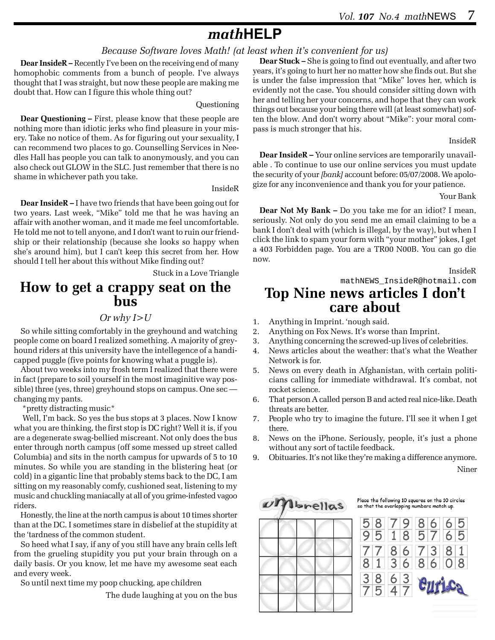## *math***HELP**

#### *Because Software loves Math! (at least when it's convenient for us)*

**Dear InsideR –** Recently I've been on the receiving end of many homophobic comments from a bunch of people. I've always thought that I was straight, but now these people are making me doubt that. How can I figure this whole thing out?

#### Questioning

**Dear Questioning –** First, please know that these people are nothing more than idiotic jerks who find pleasure in your misery. Take no notice of them. As for figuring out your sexuality, I can recommend two places to go. Counselling Services in Needles Hall has people you can talk to anonymously, and you can also check out GLOW in the SLC. Just remember that there is no shame in whichever path you take.

#### InsideR

**Dear InsideR –** I have two friends that have been going out for two years. Last week, "Mike" told me that he was having an affair with another woman, and it made me feel uncomfortable. He told me not to tell anyone, and I don't want to ruin our friendship or their relationship (because she looks so happy when she's around him), but I can't keep this secret from her. How should I tell her about this without Mike finding out?

Stuck in a Love Triangle

# **How to get a crappy seat on the bus**

#### *Or why I>U*

So while sitting comfortably in the greyhound and watching people come on board I realized something. A majority of greyhound riders at this university have the intellegence of a handicapped puggle (five points for knowing what a puggle is).

About two weeks into my frosh term I realized that there were in fact (prepare to soil yourself in the most imaginitive way possible) three (yes, three) greyhound stops on campus. One sec changing my pants.

\*pretty distracting music\*

Well, I'm back. So yes the bus stops at 3 places. Now I know what you are thinking, the first stop is DC right? Well it is, if you are a degenerate swag-bellied miscreant. Not only does the bus enter through north campus (off some messed up street called Columbia) and sits in the north campus for upwards of 5 to 10 minutes. So while you are standing in the blistering heat (or cold) in a gigantic line that probably stems back to the DC, I am sitting on my reasonably comfy, cushioned seat, listening to my music and chuckling maniacally at all of you grime-infested vagoo riders.

Honestly, the line at the north campus is about 10 times shorter than at the DC. I sometimes stare in disbelief at the stupidity at the 'tardness of the common student.

So heed what I say, if any of you still have any brain cells left from the grueling stupidity you put your brain through on a daily basis. Or you know, let me have my awesome seat each and every week.

So until next time my poop chucking, ape children

The dude laughing at you on the bus

**Dear Stuck –** She is going to find out eventually, and after two years, it's going to hurt her no matter how she finds out. But she is under the false impression that "Mike" loves her, which is evidently not the case. You should consider sitting down with her and telling her your concerns, and hope that they can work things out because your being there will (at least somewhat) soften the blow. And don't worry about "Mike": your moral compass is much stronger that his.

InsideR

**Dear InsideR –** Your online services are temporarily unavailable . To continue to use our online services you must update the security of your *[bank]* account before: 05/07/2008. We apologize for any inconvenience and thank you for your patience.

#### Your Bank

**Dear Not My Bank –** Do you take me for an idiot? I mean, seriously. Not only do you send me an email claiming to be a bank I don't deal with (which is illegal, by the way), but when I click the link to spam your form with "your mother" jokes, I get a 403 Forbidden page. You are a TR00 N00B. You can go die now.

#### InsideR

mathNEWS\_InsideR@hotmail.com

# **Top Nine news articles I don't care about**

- 1. Anything in Imprint. 'nough said.
- 2. Anything on Fox News. It's worse than Imprint.
- 3. Anything concerning the screwed-up lives of celebrities.
- 4. News articles about the weather: that's what the Weather Network is for.
- 5. News on every death in Afghanistan, with certain politicians calling for immediate withdrawal. It's combat, not rocket science.
- 6. That person A called person B and acted real nice-like. Death threats are better.
- 7. People who try to imagine the future. I'll see it when I get there.
- 8. News on the iPhone. Seriously, people, it's just a phone without any sort of tactile feedback.
- 9. Obituaries. It's not like they're making a difference anymore. Niner



Place the following 10 squares on the 10 circles so that the overlapping numbers match up.